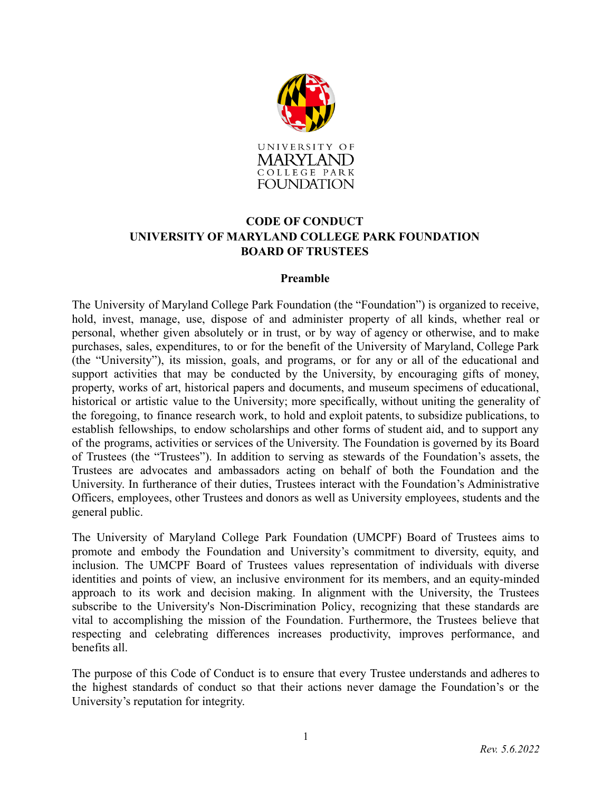

# **CODE OF CONDUCT UNIVERSITY OF MARYLAND COLLEGE PARK FOUNDATION BOARD OF TRUSTEES**

#### **Preamble**

The University of Maryland College Park Foundation (the "Foundation") is organized to receive, hold, invest, manage, use, dispose of and administer property of all kinds, whether real or personal, whether given absolutely or in trust, or by way of agency or otherwise, and to make purchases, sales, expenditures, to or for the benefit of the University of Maryland, College Park (the "University"), its mission, goals, and programs, or for any or all of the educational and support activities that may be conducted by the University, by encouraging gifts of money, property, works of art, historical papers and documents, and museum specimens of educational, historical or artistic value to the University; more specifically, without uniting the generality of the foregoing, to finance research work, to hold and exploit patents, to subsidize publications, to establish fellowships, to endow scholarships and other forms of student aid, and to support any of the programs, activities or services of the University. The Foundation is governed by its Board of Trustees (the "Trustees"). In addition to serving as stewards of the Foundation's assets, the Trustees are advocates and ambassadors acting on behalf of both the Foundation and the University. In furtherance of their duties, Trustees interact with the Foundation's Administrative Officers, employees, other Trustees and donors as well as University employees, students and the general public.

The University of Maryland College Park Foundation (UMCPF) Board of Trustees aims to promote and embody the Foundation and University's commitment to diversity, equity, and inclusion. The UMCPF Board of Trustees values representation of individuals with diverse identities and points of view, an inclusive environment for its members, and an equity-minded approach to its work and decision making. In alignment with the University, the Trustees subscribe to the University's [Non-Discrimination](https://ocrsm.umd.edu/discrimination/non-discrimination-policy-and-procedures) Policy, recognizing that these standards are vital to accomplishing the mission of the Foundation. Furthermore, the Trustees believe that respecting and celebrating differences increases productivity, improves performance, and benefits all.

The purpose of this Code of Conduct is to ensure that every Trustee understands and adheres to the highest standards of conduct so that their actions never damage the Foundation's or the University's reputation for integrity.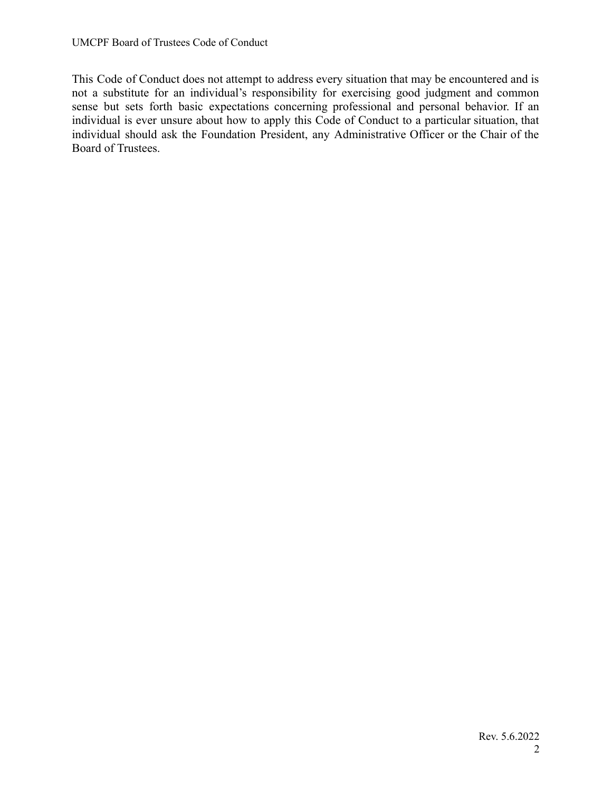This Code of Conduct does not attempt to address every situation that may be encountered and is not a substitute for an individual's responsibility for exercising good judgment and common sense but sets forth basic expectations concerning professional and personal behavior. If an individual is ever unsure about how to apply this Code of Conduct to a particular situation, that individual should ask the Foundation President, any Administrative Officer or the Chair of the Board of Trustees.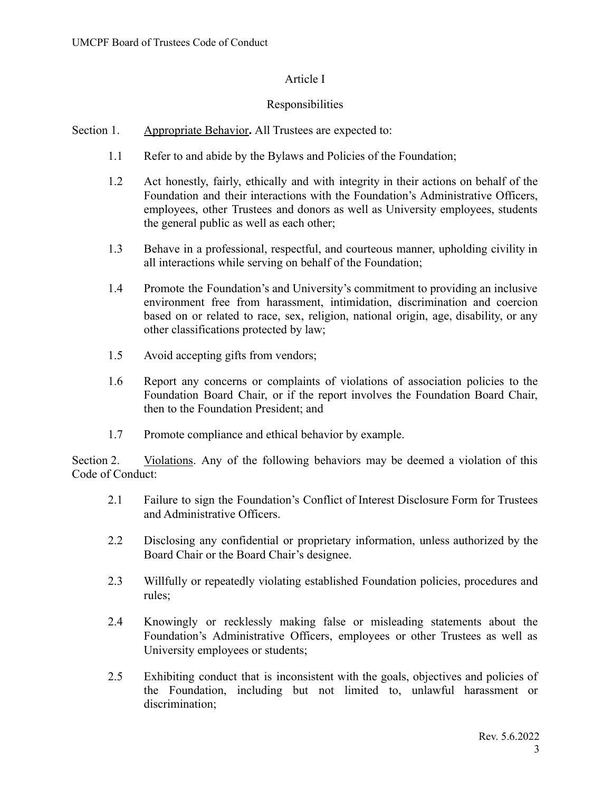# Article I

## Responsibilities

- Section 1. Appropriate Behavior. All Trustees are expected to:
	- 1.1 Refer to and abide by the Bylaws and Policies of the Foundation;
	- 1.2 Act honestly, fairly, ethically and with integrity in their actions on behalf of the Foundation and their interactions with the Foundation's Administrative Officers, employees, other Trustees and donors as well as University employees, students the general public as well as each other;
	- 1.3 Behave in a professional, respectful, and courteous manner, upholding civility in all interactions while serving on behalf of the Foundation;
	- 1.4 Promote the Foundation's and University's commitment to providing an inclusive environment free from harassment, intimidation, discrimination and coercion based on or related to race, sex, religion, national origin, age, disability, or any other classifications protected by law;
	- 1.5 Avoid accepting gifts from vendors;
	- 1.6 Report any concerns or complaints of violations of association policies to the Foundation Board Chair, or if the report involves the Foundation Board Chair, then to the Foundation President; and
	- 1.7 Promote compliance and ethical behavior by example.

Section 2. Violations. Any of the following behaviors may be deemed a violation of this Code of Conduct:

- 2.1 Failure to sign the Foundation's Conflict of Interest Disclosure Form for Trustees and Administrative Officers.
- 2.2 Disclosing any confidential or proprietary information, unless authorized by the Board Chair or the Board Chair's designee.
- 2.3 Willfully or repeatedly violating established Foundation policies, procedures and rules;
- 2.4 Knowingly or recklessly making false or misleading statements about the Foundation's Administrative Officers, employees or other Trustees as well as University employees or students;
- 2.5 Exhibiting conduct that is inconsistent with the goals, objectives and policies of the Foundation, including but not limited to, unlawful harassment or discrimination;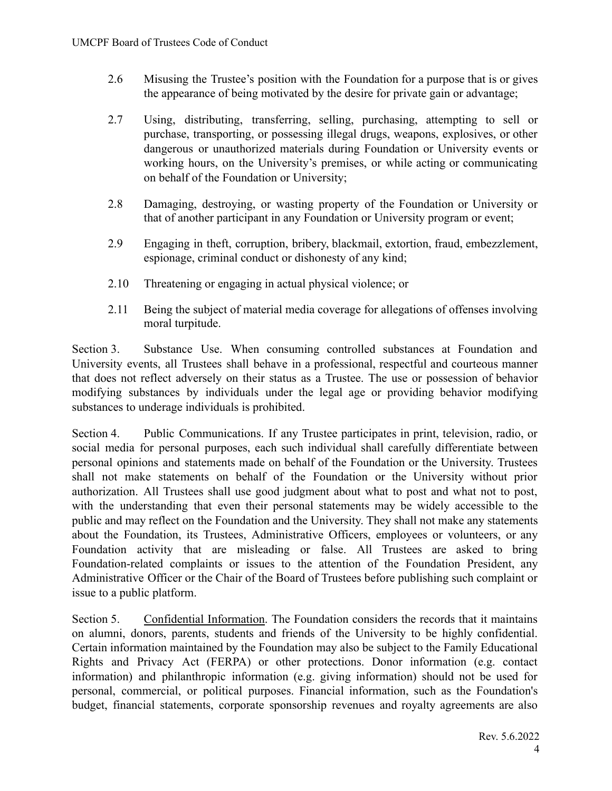- 2.6 Misusing the Trustee's position with the Foundation for a purpose that is or gives the appearance of being motivated by the desire for private gain or advantage;
- 2.7 Using, distributing, transferring, selling, purchasing, attempting to sell or purchase, transporting, or possessing illegal drugs, weapons, explosives, or other dangerous or unauthorized materials during Foundation or University events or working hours, on the University's premises, or while acting or communicating on behalf of the Foundation or University;
- 2.8 Damaging, destroying, or wasting property of the Foundation or University or that of another participant in any Foundation or University program or event;
- 2.9 Engaging in theft, corruption, bribery, blackmail, extortion, fraud, embezzlement, espionage, criminal conduct or dishonesty of any kind;
- 2.10 Threatening or engaging in actual physical violence; or
- 2.11 Being the subject of material media coverage for allegations of offenses involving moral turpitude.

Section 3. Substance Use. When consuming controlled substances at Foundation and University events, all Trustees shall behave in a professional, respectful and courteous manner that does not reflect adversely on their status as a Trustee. The use or possession of behavior modifying substances by individuals under the legal age or providing behavior modifying substances to underage individuals is prohibited.

Section 4. Public Communications. If any Trustee participates in print, television, radio, or social media for personal purposes, each such individual shall carefully differentiate between personal opinions and statements made on behalf of the Foundation or the University. Trustees shall not make statements on behalf of the Foundation or the University without prior authorization. All Trustees shall use good judgment about what to post and what not to post, with the understanding that even their personal statements may be widely accessible to the public and may reflect on the Foundation and the University. They shall not make any statements about the Foundation, its Trustees, Administrative Officers, employees or volunteers, or any Foundation activity that are misleading or false. All Trustees are asked to bring Foundation-related complaints or issues to the attention of the Foundation President, any Administrative Officer or the Chair of the Board of Trustees before publishing such complaint or issue to a public platform.

Section 5. Confidential Information. The Foundation considers the records that it maintains on alumni, donors, parents, students and friends of the University to be highly confidential. Certain information maintained by the Foundation may also be subject to the Family Educational Rights and Privacy Act (FERPA) or other protections. Donor information (e.g. contact information) and philanthropic information (e.g. giving information) should not be used for personal, commercial, or political purposes. Financial information, such as the Foundation's budget, financial statements, corporate sponsorship revenues and royalty agreements are also